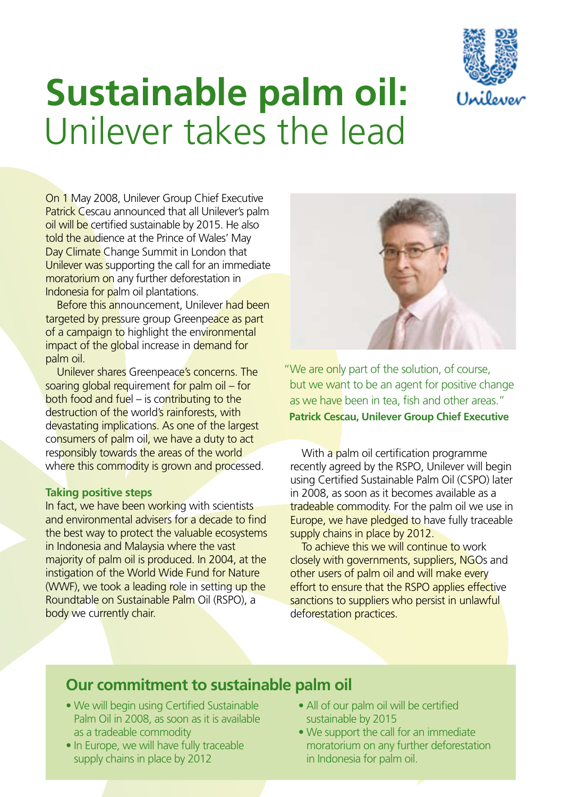

# **Sustainable palm oil:**  Unilever takes the lead

 On 1 May 2008, Unilever Group Chief Executive Patrick Cescau announced that all Unilever's palm oil will be certified sustainable by 2015. He also told the audience at the Prince of Wales' May Day Climate Change Summit in London that Unilever was supporting the call for an immediate moratorium on any further deforestation in Indonesia for palm oil plantations.

Before this announcement, Unilever <mark>had been</mark> targeted by pressure group Greenpeace as part of a campaign to highlight the environmental impact of the global increase in demand for palm oil.

 Unilever shares Greenpeace's concerns. The soaring global requirement for palm oil – for both food and fuel – is contributing to the destruction of the world's rainforests, with devastating implications. As one of the largest consumers of palm oil, we have a duty to act responsibly towards the areas of the world whe<mark>re this commodity is grown and proc</mark>essed.

### **Taking positive steps**

In fact, we have been working with scientists and environmental advisers for a decade to find the best way to protect the valuable ecosystems in Indonesia and Malaysia where the vast majority of palm oil is produced. In 2004, at the instigation of the World Wide Fund for Nature (WWF), we took a leading role in setting up the Roundtable on Sustainable Palm Oil (RSPO), a body we currently chair.



 "We are only part of the solution, of course, but we want to be an agent for positive change as we have been in tea, fish and other areas."  **Patrick Cescau, Unilever Group Chief Executive** 

With a palm oil certification programme recently agreed by the RSPO, Unilever will begin using Certifed Sustainable Palm Oil (CSPO) later in 2008, as soon as it becomes available as a tradeable commodity. For the palm oil we use in Europe, we have pledged to have fully traceable supply chains in place by 2012.

 To achieve this we will continue to work closely with governments, suppliers, NGOs and other users of palm oil and will make every effort to ensure that the RSPO applies effective sanctions to suppliers who persist in unlawful deforestation practices.

## **Our commitment to sustainable palm oil**

- We will begin using Certified Sustainable All of our palm oil will be certified Palm Oil in 2008, as soon as it is available sustainable by 2015 as a tradeable commodity
- . In Europe, we will have fully traceable supply chains in place by 2012 **in Indonesia for palm oil**.
- All of our palm oil will be certified sustainable by 2015
- as a tradeable commodity We support the call for an immediate • In Europe, we will have fully traceable moratorium on any further deforestation in Indonesia for palm oil.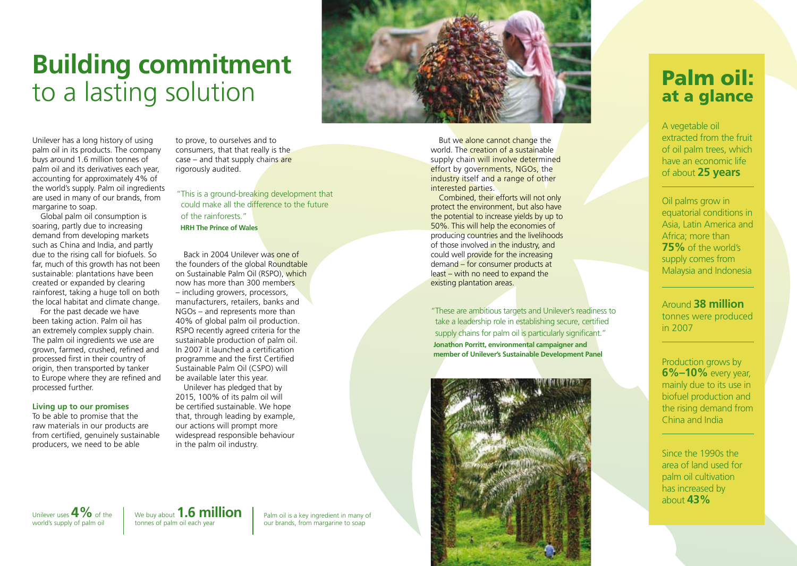# **Building commitment**  to a lasting solution

Unilever has a long history of using palm oil in its products. The company buys around 1.6 million tonnes of palm oil and its derivatives each year, accounting for approximately 4% of the world's supply. Palm oil ingredients are used in many of our brands, from margarine to soap.

 far, much of this growth has not been sustainable: plantations have been created or expanded by clearing Global palm oil consumption is soaring, partly due to increasing demand from developing markets such as China and India, and partly due to the rising call for biofuels. So rainforest, taking a huge toll on both the local habitat and climate change.

For the past decade we have been taking action. Palm oil has an extremely complex supply chain. The palm oil ingredients we use are grown, farmed, crushed, refned and processed frst in their country of origin, then transported by tanker to Europe where they are refned and processed further.

### **Living up to our promises**

 To be able to promise that the raw materials in our products are from certifed, genuinely sustainable producers, we need to be able

 to prove, to ourselves and to consumers, that that really is the case – and that supply chains are rigorously audited.

 "This is a ground-breaking development that could make all the difference to the future of the rainforests."

 **HRH The Prince of Wales** 

now has more than 300 members – including growers, processors, manufacturers, retailers, banks and NGOs – and represents more than 40% of global palm oil production. sustainable production of palm oil. In 2007 it launched a certifcation programme and the first Certified Sustainable Palm Oil (CSPO) will be available later this year. Back in 2004 Unilever was one of the founders of the global Roundtable on Sustainable Palm Oil (RSPO), which RSPO recently agreed criteria for the

 that, through leading by example, our actions will prompt more widespread responsible behaviour in the palm oil industry. Unilever has pledged that by 2015, 100% of its palm oil will be certifed sustainable. We hope



supply chain will involve determined effort by governments, NGOs, the industry itself and a range of other But we alone cannot change the world. The creation of a sustainable interested parties.

 Combined, their efforts will not only protect the environment, but also have the potential to increase yields by up to 50%. This will help the economies of producing countries and the livelihoods of those involved in the industry, and could well provide for the increasing demand – for consumer products at least – with no need to expand the existing plantation areas.

"These are ambitious targets and Unilever's readiness to take a leadership role in establishing secure, certified supply chains for palm oil is particularly significant."  **Jonathon Porritt, environmental campaigner and member of Unilever's Sustainable Development Panel** 



## Palm oil: at a glance

 A vegetable oil extracted from the fruit of oil palm trees, which have an economic life of about **25 years** 

 Oil palms grow in equatorial conditions in Asia, Latin America and Africa; more than **75%** of the world's supply comes from Malaysia and Indonesia

## Around **38 million**  tonnes were produced in 2007

 Production grows by **6%–10%** every year, mainly due to its use in biofuel production and the rising demand from China and India

 Since the 1990s the area of land used for palm oil cultivation has increased by about **43%** 

Unilever uses  $4\%$  of the  $\parallel$  We buy about  $1.6$  million  $\parallel$ 

Palm oil is a key ingredient in many of our brands, from margarine to soap